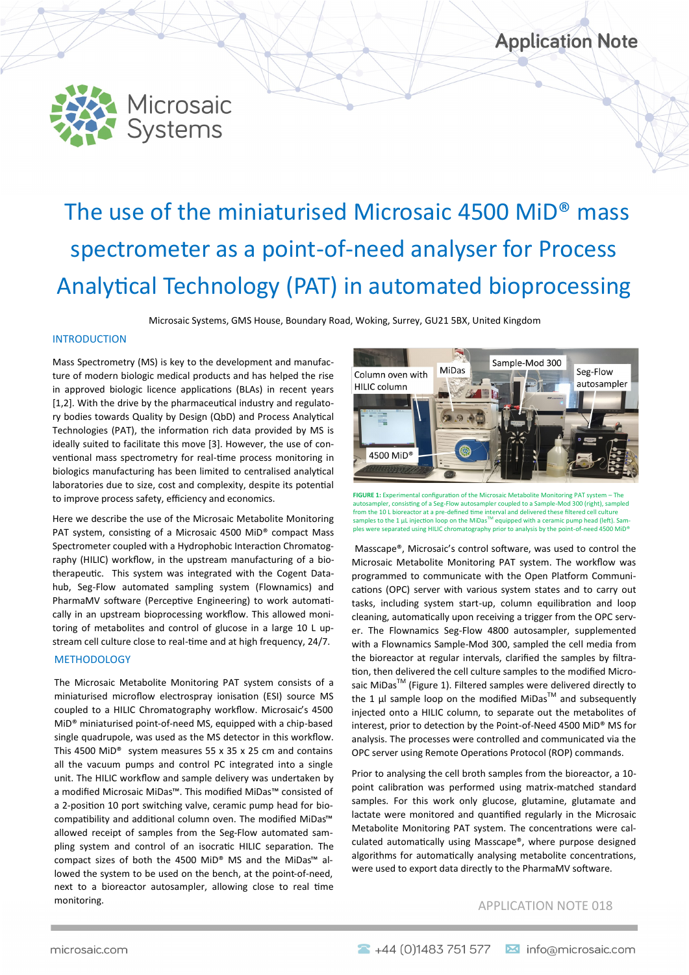



# The use of the miniaturised Microsaic 4500 MiD® mass spectrometer as a point-of-need analyser for Process Analytical Technology (PAT) in automated bioprocessing

Microsaic Systems, GMS House, Boundary Road, Woking, Surrey, GU21 5BX, United Kingdom

#### INTRODUCTION

Mass Spectrometry (MS) is key to the development and manufacture of modern biologic medical products and has helped the rise in approved biologic licence applications (BLAs) in recent years [1.2]. With the drive by the pharmaceutical industry and regulatory bodies towards Quality by Design (QbD) and Process Analytical Technologies (PAT), the information rich data provided by MS is ideally suited to facilitate this move [3]. However, the use of conventional mass spectrometry for real-time process monitoring in biologics manufacturing has been limited to centralised analytical laboratories due to size, cost and complexity, despite its potential to improve process safety, efficiency and economics.

Here we describe the use of the Microsaic Metabolite Monitoring PAT system, consisting of a Microsaic 4500 MiD® compact Mass Spectrometer coupled with a Hydrophobic Interaction Chromatography (HILIC) workflow, in the upstream manufacturing of a biotherapeutic. This system was integrated with the Cogent Datahub, Seg-Flow automated sampling system (Flownamics) and PharmaMV software (Perceptive Engineering) to work automatically in an upstream bioprocessing workflow. This allowed monitoring of metabolites and control of glucose in a large 10 L upstream cell culture close to real-time and at high frequency, 24/7.

#### METHODOLOGY

The Microsaic Metabolite Monitoring PAT system consists of a miniaturised microflow electrospray ionisation (ESI) source MS coupled to a HILIC Chromatography workflow. Microsaic's 4500 MiD® miniaturised point-of-need MS, equipped with a chip-based single quadrupole, was used as the MS detector in this workflow. This 4500 MiD® system measures 55 x 35 x 25 cm and contains all the vacuum pumps and control PC integrated into a single unit. The HILIC workflow and sample delivery was undertaken by a modified Microsaic MiDas™. This modified MiDas™ consisted of a 2-position 10 port switching valve, ceramic pump head for biocompatibility and additional column oven. The modified MiDas™ allowed receipt of samples from the Seg-Flow automated sampling system and control of an isocratic HILIC separation. The compact sizes of both the 4500 MiD® MS and the MiDas™ allowed the system to be used on the bench, at the point-of-need, next to a bioreactor autosampler, allowing close to real time monitoring.



**FIGURE 1:** Experimental configuration of the Microsaic Metabolite Monitoring PAT system – The autosampler, consisting of a Seg-Flow autosampler coupled to a Sample-Mod 300 (right), sampled from the 10 L bioreactor at a pre-defined time interval and delivered these filtered cell culture<br>samples to the 1 µL injection loop on the MiDas<sup>™</sup> equipped with a ceramic pump head (left). Samples were separated using HILIC chromatography prior to analysis by the point-of-need 4500 MiD®

Masscape®, Microsaic's control software, was used to control the Microsaic Metabolite Monitoring PAT system. The workflow was programmed to communicate with the Open Platform Communications (OPC) server with various system states and to carry out tasks, including system start-up, column equilibration and loop cleaning, automatically upon receiving a trigger from the OPC server. The Flownamics Seg-Flow 4800 autosampler, supplemented with a Flownamics Sample-Mod 300, sampled the cell media from the bioreactor at regular intervals, clarified the samples by filtration, then delivered the cell culture samples to the modified Microsaic MiDas<sup>™</sup> (Figure 1). Filtered samples were delivered directly to the 1  $\mu$  sample loop on the modified MiDas<sup>TM</sup> and subsequently injected onto a HILIC column, to separate out the metabolites of interest, prior to detection by the Point-of-Need 4500 MiD® MS for analysis. The processes were controlled and communicated via the OPC server using Remote Operations Protocol (ROP) commands.

Prior to analysing the cell broth samples from the bioreactor, a 10 point calibration was performed using matrix-matched standard samples. For this work only glucose, glutamine, glutamate and lactate were monitored and quantified regularly in the Microsaic Metabolite Monitoring PAT system. The concentrations were calculated automatically using Masscape®, where purpose designed algorithms for automatically analysing metabolite concentrations, were used to export data directly to the PharmaMV software.

# APPLICATION NOTE 018